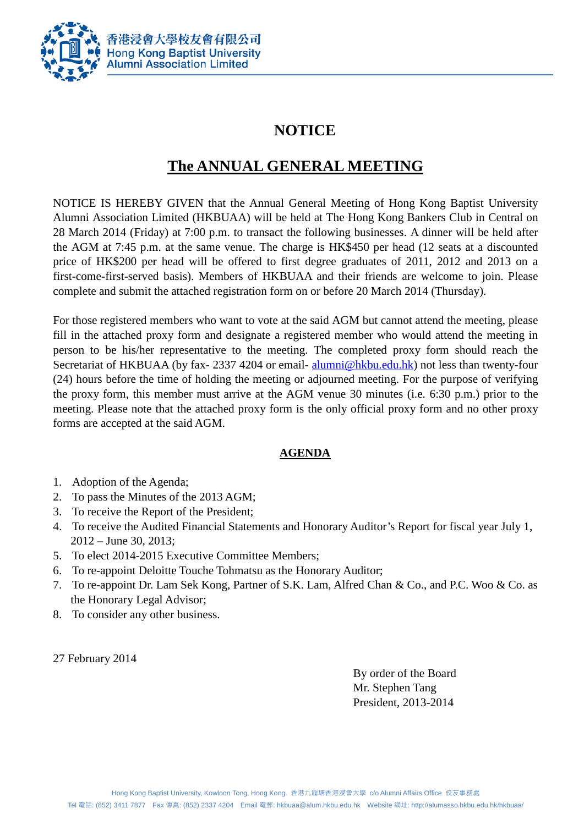

## **NOTICE**

## **The ANNUAL GENERAL MEETING**

NOTICE IS HEREBY GIVEN that the Annual General Meeting of Hong Kong Baptist University Alumni Association Limited (HKBUAA) will be held at The Hong Kong Bankers Club in Central on 28 March 2014 (Friday) at 7:00 p.m. to transact the following businesses. A dinner will be held after the AGM at 7:45 p.m. at the same venue. The charge is HK\$450 per head (12 seats at a discounted price of HK\$200 per head will be offered to first degree graduates of 2011, 2012 and 2013 on a first-come-first-served basis). Members of HKBUAA and their friends are welcome to join. Please complete and submit the attached registration form on or before 20 March 2014 (Thursday).

For those registered members who want to vote at the said AGM but cannot attend the meeting, please fill in the attached proxy form and designate a registered member who would attend the meeting in person to be his/her representative to the meeting. The completed proxy form should reach the Secretariat of HKBUAA (by fax- 2337 4204 or email-[alumni@hkbu.edu.hk\)](mailto:alumni@hkbu.edu.hk) not less than twenty-four (24) hours before the time of holding the meeting or adjourned meeting. For the purpose of verifying the proxy form, this member must arrive at the AGM venue 30 minutes (i.e. 6:30 p.m.) prior to the meeting. Please note that the attached proxy form is the only official proxy form and no other proxy forms are accepted at the said AGM.

### **AGENDA**

- 1. Adoption of the Agenda;
- 2. To pass the Minutes of the 2013 AGM;
- 3. To receive the Report of the President;
- 4. To receive the Audited Financial Statements and Honorary Auditor's Report for fiscal year July 1, 2012 – June 30, 2013;
- 5. To elect 2014-2015 Executive Committee Members;
- 6. To re-appoint Deloitte Touche Tohmatsu as the Honorary Auditor;
- 7. To re-appoint Dr. Lam Sek Kong, Partner of S.K. Lam, Alfred Chan & Co., and P.C. Woo & Co. as the Honorary Legal Advisor;
- 8. To consider any other business.

27 February 2014

By order of the Board Mr. Stephen Tang President, 2013-2014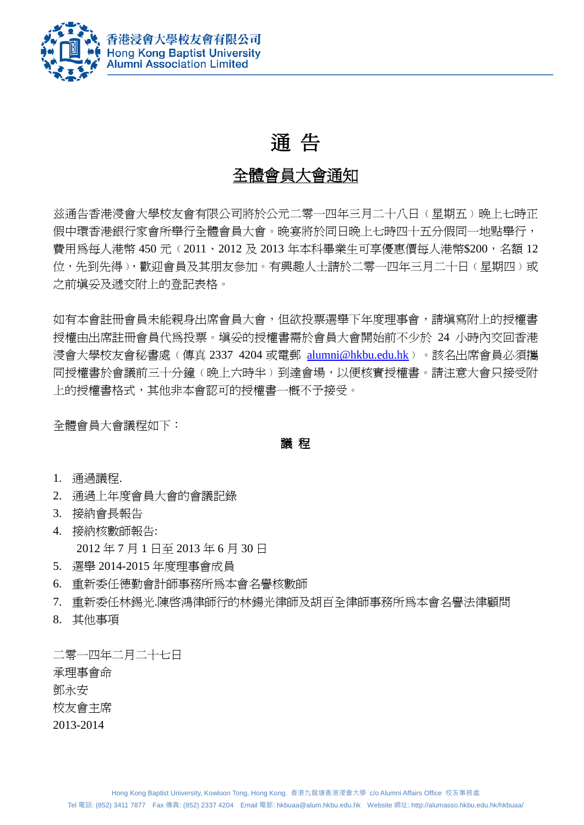

# 通 告

## 全體會員大會通知

兹通告香港浸會大學校友會有限公司將於公元二零一四年三月二十八日﹙星期五﹚晚上七時正 假中環香港銀行家會所舉行全體會員大會。晚宴將於同日晚上七時四十五分假同一地點舉行, 費用為每人港幣 450 元 (2011、2012 及 2013 年本科畢業生可享優惠價每人港幣\$200,名額 12 位,先到先得),歡迎會員及其朋友參加。有興趣人士請於二零一四年三月二十日(星期四)或 之前填妥及遞交附上的登記表格。

如有本會註冊會員未能親身出席會員大會,但欲投票選舉下年度理事會,請填寫附上的授權書 授權由出席註冊會員代為投票。填妥的授權書需於會員大會開始前不少於 24 小時內交回香港 浸會大學校友會秘書處(傳真 2337 4204 或電郵 [alumni@hkbu.edu.hk](mailto:alumni@hkbu.edu.hk))。該名出席會員必須攜 同授權書於會議前三十分鐘(晩上六時半)到達會場,以便核實授權書。請注意大會只接受附 上的授權書格式,其他非本會認可的授權書一概不予接受。

全體會員大會議程如下:

議 程

- 1. 通過議程.
- 2. 通過上年度會員大會的會議記錄
- 3. 接納會長報告
- 4. 接納核數師報告:

2012 年 7 月 1 日至 2013 年 6 月 30 日

- 5. 選舉 2014-2015 年度理事會成員
- 6. 重新委任德勤會計師事務所為本會名譽核數師
- 7. 重新委任林錫光.陳啟鴻律師行的林鍚光律師及胡百全律師事務所為本會名譽法律顧問
- 8. 其他事項

二零一四年二月二十七日 承理事會命 鄧永安 校友會主席 2013-2014